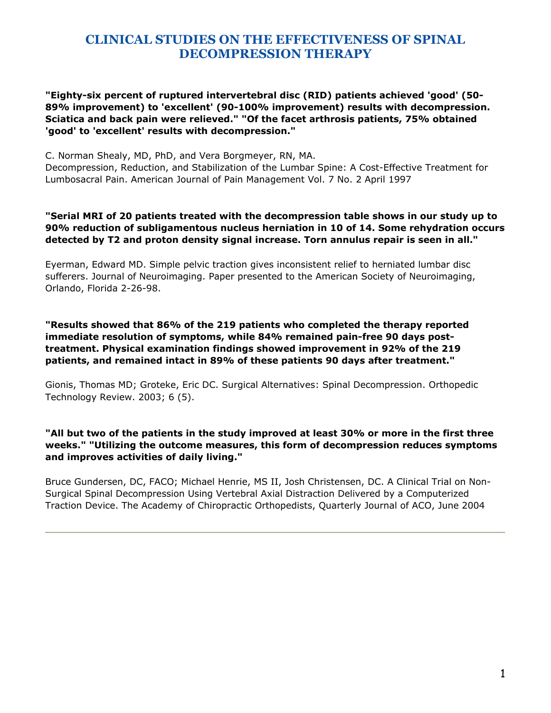#### **"Eighty-six percent of ruptured intervertebral disc (RID) patients achieved 'good' (50- 89% improvement) to 'excellent' (90-100% improvement) results with decompression. Sciatica and back pain were relieved." "Of the facet arthrosis patients, 75% obtained 'good' to 'excellent' results with decompression."**

C. Norman Shealy, MD, PhD, and Vera Borgmeyer, RN, MA.

Decompression, Reduction, and Stabilization of the Lumbar Spine: A Cost-Effective Treatment for Lumbosacral Pain. American Journal of Pain Management Vol. 7 No. 2 April 1997

#### **"Serial MRI of 20 patients treated with the decompression table shows in our study up to 90% reduction of subligamentous nucleus herniation in 10 of 14. Some rehydration occurs detected by T2 and proton density signal increase. Torn annulus repair is seen in all."**

Eyerman, Edward MD. Simple pelvic traction gives inconsistent relief to herniated lumbar disc sufferers. Journal of Neuroimaging. Paper presented to the American Society of Neuroimaging, Orlando, Florida 2-26-98.

**"Results showed that 86% of the 219 patients who completed the therapy reported immediate resolution of symptoms, while 84% remained pain-free 90 days posttreatment. Physical examination findings showed improvement in 92% of the 219 patients, and remained intact in 89% of these patients 90 days after treatment."** 

Gionis, Thomas MD; Groteke, Eric DC. Surgical Alternatives: Spinal Decompression. Orthopedic Technology Review. 2003; 6 (5).

#### **"All but two of the patients in the study improved at least 30% or more in the first three weeks." "Utilizing the outcome measures, this form of decompression reduces symptoms and improves activities of daily living."**

Bruce Gundersen, DC, FACO; Michael Henrie, MS II, Josh Christensen, DC. A Clinical Trial on Non-Surgical Spinal Decompression Using Vertebral Axial Distraction Delivered by a Computerized Traction Device. The Academy of Chiropractic Orthopedists, Quarterly Journal of ACO, June 2004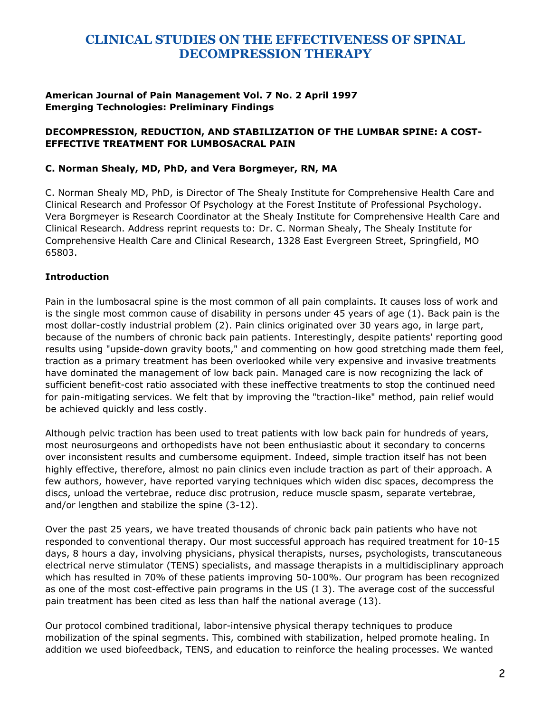#### **American Journal of Pain Management Vol. 7 No. 2 April 1997 Emerging Technologies: Preliminary Findings**

## **DECOMPRESSION, REDUCTION, AND STABILIZATION OF THE LUMBAR SPINE: A COST-EFFECTIVE TREATMENT FOR LUMBOSACRAL PAIN**

#### **C. Norman Shealy, MD, PhD, and Vera Borgmeyer, RN, MA**

C. Norman Shealy MD, PhD, is Director of The Shealy Institute for Comprehensive Health Care and Clinical Research and Professor Of Psychology at the Forest Institute of Professional Psychology. Vera Borgmeyer is Research Coordinator at the Shealy Institute for Comprehensive Health Care and Clinical Research. Address reprint requests to: Dr. C. Norman Shealy, The Shealy Institute for Comprehensive Health Care and Clinical Research, 1328 East Evergreen Street, Springfield, MO 65803.

## **Introduction**

Pain in the lumbosacral spine is the most common of all pain complaints. It causes loss of work and is the single most common cause of disability in persons under 45 years of age (1). Back pain is the most dollar-costly industrial problem (2). Pain clinics originated over 30 years ago, in large part, because of the numbers of chronic back pain patients. Interestingly, despite patients' reporting good results using "upside-down gravity boots," and commenting on how good stretching made them feel, traction as a primary treatment has been overlooked while very expensive and invasive treatments have dominated the management of low back pain. Managed care is now recognizing the lack of sufficient benefit-cost ratio associated with these ineffective treatments to stop the continued need for pain-mitigating services. We felt that by improving the "traction-like" method, pain relief would be achieved quickly and less costly.

Although pelvic traction has been used to treat patients with low back pain for hundreds of years, most neurosurgeons and orthopedists have not been enthusiastic about it secondary to concerns over inconsistent results and cumbersome equipment. Indeed, simple traction itself has not been highly effective, therefore, almost no pain clinics even include traction as part of their approach. A few authors, however, have reported varying techniques which widen disc spaces, decompress the discs, unload the vertebrae, reduce disc protrusion, reduce muscle spasm, separate vertebrae, and/or lengthen and stabilize the spine (3-12).

Over the past 25 years, we have treated thousands of chronic back pain patients who have not responded to conventional therapy. Our most successful approach has required treatment for 10-15 days, 8 hours a day, involving physicians, physical therapists, nurses, psychologists, transcutaneous electrical nerve stimulator (TENS) specialists, and massage therapists in a multidisciplinary approach which has resulted in 70% of these patients improving 50-100%. Our program has been recognized as one of the most cost-effective pain programs in the US (I 3). The average cost of the successful pain treatment has been cited as less than half the national average (13).

Our protocol combined traditional, labor-intensive physical therapy techniques to produce mobilization of the spinal segments. This, combined with stabilization, helped promote healing. In addition we used biofeedback, TENS, and education to reinforce the healing processes. We wanted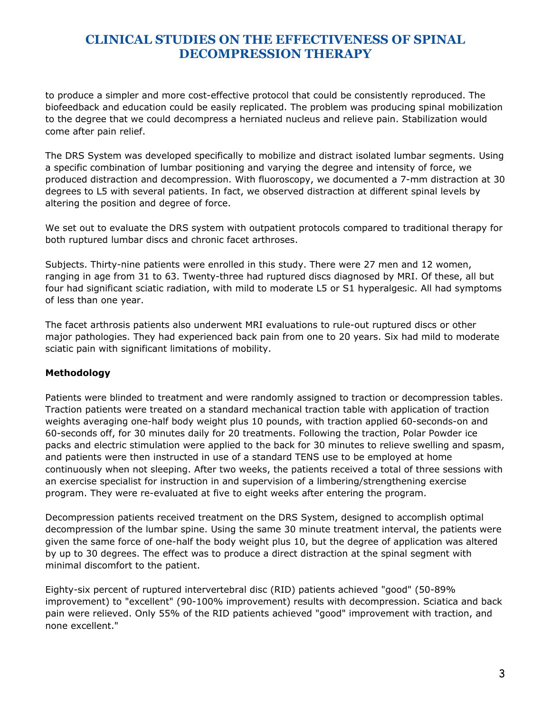to produce a simpler and more cost-effective protocol that could be consistently reproduced. The biofeedback and education could be easily replicated. The problem was producing spinal mobilization to the degree that we could decompress a herniated nucleus and relieve pain. Stabilization would come after pain relief.

The DRS System was developed specifically to mobilize and distract isolated lumbar segments. Using a specific combination of lumbar positioning and varying the degree and intensity of force, we produced distraction and decompression. With fluoroscopy, we documented a 7-mm distraction at 30 degrees to L5 with several patients. In fact, we observed distraction at different spinal levels by altering the position and degree of force.

We set out to evaluate the DRS system with outpatient protocols compared to traditional therapy for both ruptured lumbar discs and chronic facet arthroses.

Subjects. Thirty-nine patients were enrolled in this study. There were 27 men and 12 women, ranging in age from 31 to 63. Twenty-three had ruptured discs diagnosed by MRI. Of these, all but four had significant sciatic radiation, with mild to moderate L5 or S1 hyperalgesic. All had symptoms of less than one year.

The facet arthrosis patients also underwent MRI evaluations to rule-out ruptured discs or other major pathologies. They had experienced back pain from one to 20 years. Six had mild to moderate sciatic pain with significant limitations of mobility.

## **Methodology**

Patients were blinded to treatment and were randomly assigned to traction or decompression tables. Traction patients were treated on a standard mechanical traction table with application of traction weights averaging one-half body weight plus 10 pounds, with traction applied 60-seconds-on and 60-seconds off, for 30 minutes daily for 20 treatments. Following the traction, Polar Powder ice packs and electric stimulation were applied to the back for 30 minutes to relieve swelling and spasm, and patients were then instructed in use of a standard TENS use to be employed at home continuously when not sleeping. After two weeks, the patients received a total of three sessions with an exercise specialist for instruction in and supervision of a limbering/strengthening exercise program. They were re-evaluated at five to eight weeks after entering the program.

Decompression patients received treatment on the DRS System, designed to accomplish optimal decompression of the lumbar spine. Using the same 30 minute treatment interval, the patients were given the same force of one-half the body weight plus 10, but the degree of application was altered by up to 30 degrees. The effect was to produce a direct distraction at the spinal segment with minimal discomfort to the patient.

Eighty-six percent of ruptured intervertebral disc (RID) patients achieved "good" (50-89% improvement) to "excellent" (90-100% improvement) results with decompression. Sciatica and back pain were relieved. Only 55% of the RID patients achieved "good" improvement with traction, and none excellent."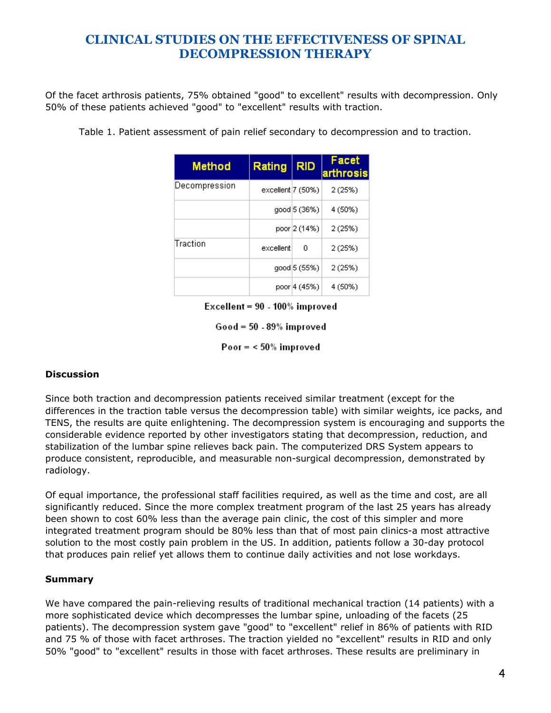Of the facet arthrosis patients, 75% obtained "good" to excellent" results with decompression. Only 50% of these patients achieved "good" to "excellent" results with traction.

|  |  |  |  | Table 1. Patient assessment of pain relief secondary to decompression and to traction. |  |
|--|--|--|--|----------------------------------------------------------------------------------------|--|
|  |  |  |  |                                                                                        |  |

| <b>Method</b> | Rating            | <b>RID</b>   | Facet<br>arthrosis |
|---------------|-------------------|--------------|--------------------|
| Decompression | excellent 7 (50%) |              | 2 (25%)            |
|               |                   | good 5 (36%) | 4 (50%)            |
|               |                   | poor 2 (14%) | 2 (25%)            |
| Traction      | excellent         | n            | 2 (25%)            |
|               |                   | good 5 (55%) | 2 (25%)            |
|               |                   | poor 4 (45%) | 4 (50%)            |

Excellent = 90 - 100% improved

 $Good = 50 - 89%$  improved

Poor  $=$  < 50% improved

## **Discussion**

Since both traction and decompression patients received similar treatment (except for the differences in the traction table versus the decompression table) with similar weights, ice packs, and TENS, the results are quite enlightening. The decompression system is encouraging and supports the considerable evidence reported by other investigators stating that decompression, reduction, and stabilization of the lumbar spine relieves back pain. The computerized DRS System appears to produce consistent, reproducible, and measurable non-surgical decompression, demonstrated by radiology.

Of equal importance, the professional staff facilities required, as well as the time and cost, are all significantly reduced. Since the more complex treatment program of the last 25 years has already been shown to cost 60% less than the average pain clinic, the cost of this simpler and more integrated treatment program should be 80% less than that of most pain clinics-a most attractive solution to the most costly pain problem in the US. In addition, patients follow a 30-day protocol that produces pain relief yet allows them to continue daily activities and not lose workdays.

#### **Summary**

We have compared the pain-relieving results of traditional mechanical traction (14 patients) with a more sophisticated device which decompresses the lumbar spine, unloading of the facets (25 patients). The decompression system gave "good" to "excellent" relief in 86% of patients with RID and 75 % of those with facet arthroses. The traction yielded no "excellent" results in RID and only 50% "good" to "excellent" results in those with facet arthroses. These results are preliminary in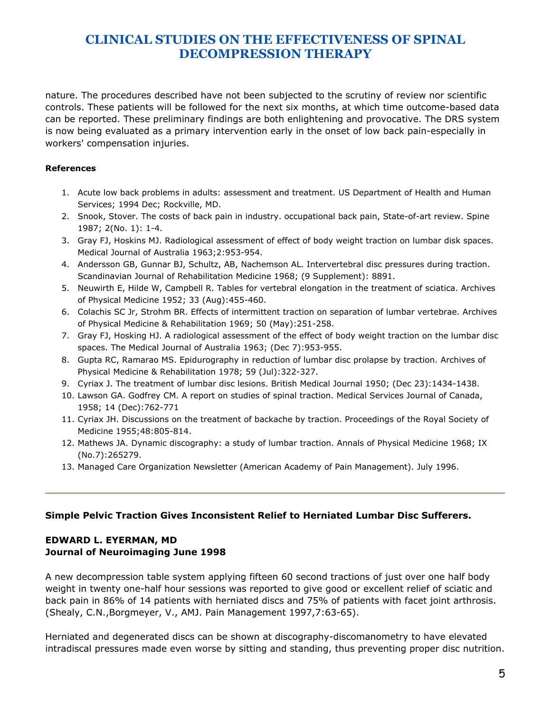nature. The procedures described have not been subjected to the scrutiny of review nor scientific controls. These patients will be followed for the next six months, at which time outcome-based data can be reported. These preliminary findings are both enlightening and provocative. The DRS system is now being evaluated as a primary intervention early in the onset of low back pain-especially in workers' compensation injuries.

#### **References**

- 1. Acute low back problems in adults: assessment and treatment. US Department of Health and Human Services; 1994 Dec; Rockville, MD.
- 2. Snook, Stover. The costs of back pain in industry. occupational back pain, State-of-art review. Spine 1987; 2(No. 1): 1-4.
- 3. Gray FJ, Hoskins MJ. Radiological assessment of effect of body weight traction on lumbar disk spaces. Medical Journal of Australia 1963;2:953-954.
- 4. Andersson GB, Gunnar BJ, Schultz, AB, Nachemson AL. Intervertebral disc pressures during traction. Scandinavian Journal of Rehabilitation Medicine 1968; (9 Supplement): 8891.
- 5. Neuwirth E, Hilde W, Campbell R. Tables for vertebral elongation in the treatment of sciatica. Archives of Physical Medicine 1952; 33 (Aug):455-460.
- 6. Colachis SC Jr, Strohm BR. Effects of intermittent traction on separation of lumbar vertebrae. Archives of Physical Medicine & Rehabilitation 1969; 50 (May):251-258.
- 7. Gray FJ, Hosking HJ. A radiological assessment of the effect of body weight traction on the lumbar disc spaces. The Medical Journal of Australia 1963; (Dec 7):953-955.
- 8. Gupta RC, Ramarao MS. Epidurography in reduction of lumbar disc prolapse by traction. Archives of Physical Medicine & Rehabilitation 1978; 59 (Jul):322-327.
- 9. Cyriax J. The treatment of lumbar disc lesions. British Medical Journal 1950; (Dec 23):1434-1438.
- 10. Lawson GA. Godfrey CM. A report on studies of spinal traction. Medical Services Journal of Canada, 1958; 14 (Dec):762-771
- 11. Cyriax JH. Discussions on the treatment of backache by traction. Proceedings of the Royal Society of Medicine 1955;48:805-814.
- 12. Mathews JA. Dynamic discography: a study of lumbar traction. Annals of Physical Medicine 1968; IX (No.7):265279.
- 13. Managed Care Organization Newsletter (American Academy of Pain Management). July 1996.

#### **Simple Pelvic Traction Gives Inconsistent Relief to Herniated Lumbar Disc Sufferers.**

## **EDWARD L. EYERMAN, MD Journal of Neuroimaging June 1998**

A new decompression table system applying fifteen 60 second tractions of just over one half body weight in twenty one-half hour sessions was reported to give good or excellent relief of sciatic and back pain in 86% of 14 patients with herniated discs and 75% of patients with facet joint arthrosis. (Shealy, C.N.,Borgmeyer, V., AMJ. Pain Management 1997,7:63-65).

Herniated and degenerated discs can be shown at discography-discomanometry to have elevated intradiscal pressures made even worse by sitting and standing, thus preventing proper disc nutrition.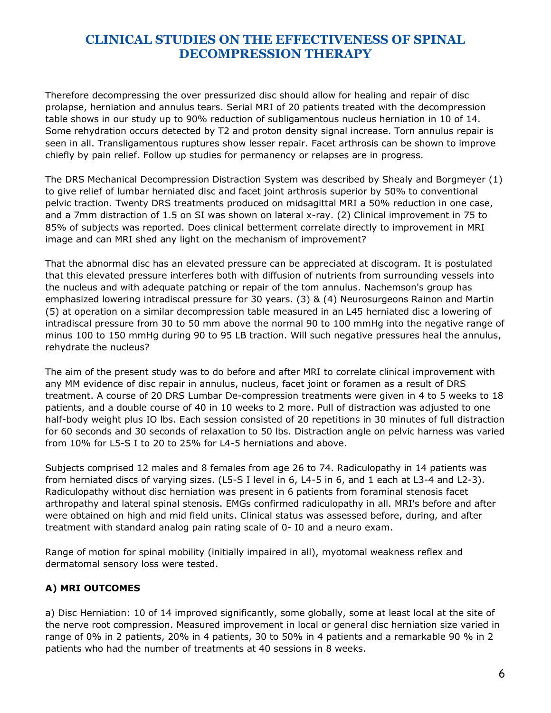Therefore decompressing the over pressurized disc should allow for healing and repair of disc prolapse, herniation and annulus tears. Serial MRI of 20 patients treated with the decompression table shows in our study up to 90% reduction of subligamentous nucleus herniation in 10 of 14. Some rehydration occurs detected by T2 and proton density signal increase. Torn annulus repair is seen in all. Transligamentous ruptures show lesser repair. Facet arthrosis can be shown to improve chiefly by pain relief. Follow up studies for permanency or relapses are in progress.

The DRS Mechanical Decompression Distraction System was described by Shealy and Borgmeyer (1) to give relief of lumbar herniated disc and facet joint arthrosis superior by 50% to conventional pelvic traction. Twenty DRS treatments produced on midsagittal MRI a 50% reduction in one case, and a 7mm distraction of 1.5 on SI was shown on lateral x-ray. (2) Clinical improvement in 75 to 85% of subjects was reported. Does clinical betterment correlate directly to improvement in MRI image and can MRI shed any light on the mechanism of improvement?

That the abnormal disc has an elevated pressure can be appreciated at discogram. It is postulated that this elevated pressure interferes both with diffusion of nutrients from surrounding vessels into the nucleus and with adequate patching or repair of the tom annulus. Nachemson's group has emphasized lowering intradiscal pressure for 30 years. (3) & (4) Neurosurgeons Rainon and Martin (5) at operation on a similar decompression table measured in an L45 herniated disc a lowering of intradiscal pressure from 30 to 50 mm above the normal 90 to 100 mmHg into the negative range of minus 100 to 150 mmHg during 90 to 95 LB traction. Will such negative pressures heal the annulus, rehydrate the nucleus?

The aim of the present study was to do before and after MRI to correlate clinical improvement with any MM evidence of disc repair in annulus, nucleus, facet joint or foramen as a result of DRS treatment. A course of 20 DRS Lumbar De-compression treatments were given in 4 to 5 weeks to 18 patients, and a double course of 40 in 10 weeks to 2 more. Pull of distraction was adjusted to one half-body weight plus IO lbs. Each session consisted of 20 repetitions in 30 minutes of full distraction for 60 seconds and 30 seconds of relaxation to 50 lbs. Distraction angle on pelvic harness was varied from 10% for L5-S I to 20 to 25% for L4-5 herniations and above.

Subjects comprised 12 males and 8 females from age 26 to 74. Radiculopathy in 14 patients was from herniated discs of varying sizes. (L5-S I level in 6, L4-5 in 6, and 1 each at L3-4 and L2-3). Radiculopathy without disc herniation was present in 6 patients from foraminal stenosis facet arthropathy and lateral spinal stenosis. EMGs confirmed radiculopathy in all. MRI's before and after were obtained on high and mid field units. Clinical status was assessed before, during, and after treatment with standard analog pain rating scale of 0- I0 and a neuro exam.

Range of motion for spinal mobility (initially impaired in all), myotomal weakness reflex and dermatomal sensory loss were tested.

## **A) MRI OUTCOMES**

a) Disc Herniation: 10 of 14 improved significantly, some globally, some at least local at the site of the nerve root compression. Measured improvement in local or general disc herniation size varied in range of 0% in 2 patients, 20% in 4 patients, 30 to 50% in 4 patients and a remarkable 90 % in 2 patients who had the number of treatments at 40 sessions in 8 weeks.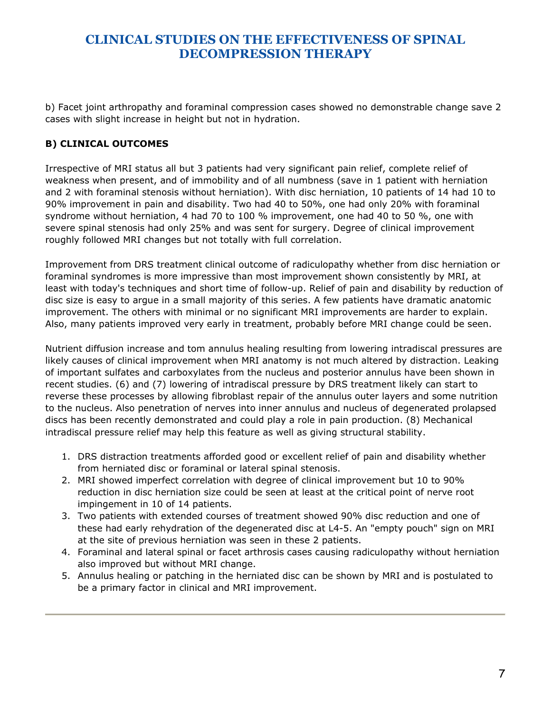b) Facet joint arthropathy and foraminal compression cases showed no demonstrable change save 2 cases with slight increase in height but not in hydration.

## **B) CLINICAL OUTCOMES**

Irrespective of MRI status all but 3 patients had very significant pain relief, complete relief of weakness when present, and of immobility and of all numbness (save in 1 patient with herniation and 2 with foraminal stenosis without herniation). With disc herniation, 10 patients of 14 had 10 to 90% improvement in pain and disability. Two had 40 to 50%, one had only 20% with foraminal syndrome without herniation, 4 had 70 to 100 % improvement, one had 40 to 50 %, one with severe spinal stenosis had only 25% and was sent for surgery. Degree of clinical improvement roughly followed MRI changes but not totally with full correlation.

Improvement from DRS treatment clinical outcome of radiculopathy whether from disc herniation or foraminal syndromes is more impressive than most improvement shown consistently by MRI, at least with today's techniques and short time of follow-up. Relief of pain and disability by reduction of disc size is easy to argue in a small majority of this series. A few patients have dramatic anatomic improvement. The others with minimal or no significant MRI improvements are harder to explain. Also, many patients improved very early in treatment, probably before MRI change could be seen.

Nutrient diffusion increase and tom annulus healing resulting from lowering intradiscal pressures are likely causes of clinical improvement when MRI anatomy is not much altered by distraction. Leaking of important sulfates and carboxylates from the nucleus and posterior annulus have been shown in recent studies. (6) and (7) lowering of intradiscal pressure by DRS treatment likely can start to reverse these processes by allowing fibroblast repair of the annulus outer layers and some nutrition to the nucleus. Also penetration of nerves into inner annulus and nucleus of degenerated prolapsed discs has been recently demonstrated and could play a role in pain production. (8) Mechanical intradiscal pressure relief may help this feature as well as giving structural stability.

- 1. DRS distraction treatments afforded good or excellent relief of pain and disability whether from herniated disc or foraminal or lateral spinal stenosis.
- 2. MRI showed imperfect correlation with degree of clinical improvement but 10 to 90% reduction in disc herniation size could be seen at least at the critical point of nerve root impingement in 10 of 14 patients.
- 3. Two patients with extended courses of treatment showed 90% disc reduction and one of these had early rehydration of the degenerated disc at L4-5. An "empty pouch" sign on MRI at the site of previous herniation was seen in these 2 patients.
- 4. Foraminal and lateral spinal or facet arthrosis cases causing radiculopathy without herniation also improved but without MRI change.
- 5. Annulus healing or patching in the herniated disc can be shown by MRI and is postulated to be a primary factor in clinical and MRI improvement.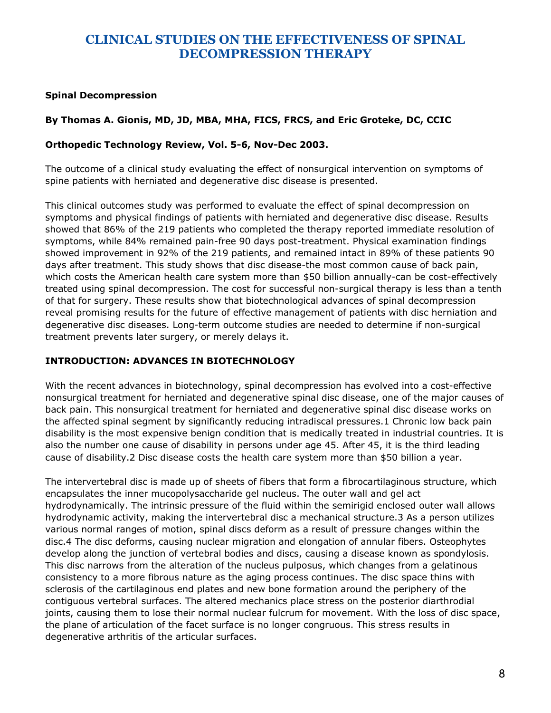#### **Spinal Decompression**

#### **By Thomas A. Gionis, MD, JD, MBA, MHA, FICS, FRCS, and Eric Groteke, DC, CCIC**

#### **Orthopedic Technology Review, Vol. 5-6, Nov-Dec 2003.**

The outcome of a clinical study evaluating the effect of nonsurgical intervention on symptoms of spine patients with herniated and degenerative disc disease is presented.

This clinical outcomes study was performed to evaluate the effect of spinal decompression on symptoms and physical findings of patients with herniated and degenerative disc disease. Results showed that 86% of the 219 patients who completed the therapy reported immediate resolution of symptoms, while 84% remained pain-free 90 days post-treatment. Physical examination findings showed improvement in 92% of the 219 patients, and remained intact in 89% of these patients 90 days after treatment. This study shows that disc disease-the most common cause of back pain, which costs the American health care system more than \$50 billion annually-can be cost-effectively treated using spinal decompression. The cost for successful non-surgical therapy is less than a tenth of that for surgery. These results show that biotechnological advances of spinal decompression reveal promising results for the future of effective management of patients with disc herniation and degenerative disc diseases. Long-term outcome studies are needed to determine if non-surgical treatment prevents later surgery, or merely delays it.

#### **INTRODUCTION: ADVANCES IN BIOTECHNOLOGY**

With the recent advances in biotechnology, spinal decompression has evolved into a cost-effective nonsurgical treatment for herniated and degenerative spinal disc disease, one of the major causes of back pain. This nonsurgical treatment for herniated and degenerative spinal disc disease works on the affected spinal segment by significantly reducing intradiscal pressures.1 Chronic low back pain disability is the most expensive benign condition that is medically treated in industrial countries. It is also the number one cause of disability in persons under age 45. After 45, it is the third leading cause of disability.2 Disc disease costs the health care system more than \$50 billion a year.

The intervertebral disc is made up of sheets of fibers that form a fibrocartilaginous structure, which encapsulates the inner mucopolysaccharide gel nucleus. The outer wall and gel act hydrodynamically. The intrinsic pressure of the fluid within the semirigid enclosed outer wall allows hydrodynamic activity, making the intervertebral disc a mechanical structure.3 As a person utilizes various normal ranges of motion, spinal discs deform as a result of pressure changes within the disc.4 The disc deforms, causing nuclear migration and elongation of annular fibers. Osteophytes develop along the junction of vertebral bodies and discs, causing a disease known as spondylosis. This disc narrows from the alteration of the nucleus pulposus, which changes from a gelatinous consistency to a more fibrous nature as the aging process continues. The disc space thins with sclerosis of the cartilaginous end plates and new bone formation around the periphery of the contiguous vertebral surfaces. The altered mechanics place stress on the posterior diarthrodial joints, causing them to lose their normal nuclear fulcrum for movement. With the loss of disc space, the plane of articulation of the facet surface is no longer congruous. This stress results in degenerative arthritis of the articular surfaces.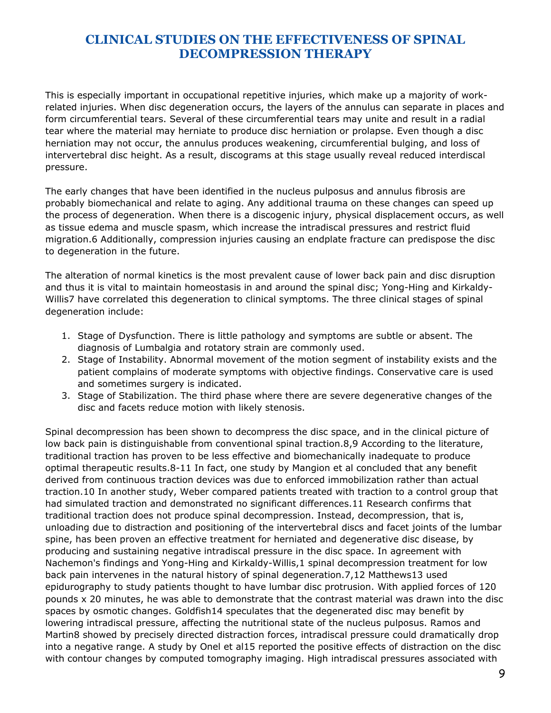This is especially important in occupational repetitive injuries, which make up a majority of workrelated injuries. When disc degeneration occurs, the layers of the annulus can separate in places and form circumferential tears. Several of these circumferential tears may unite and result in a radial tear where the material may herniate to produce disc herniation or prolapse. Even though a disc herniation may not occur, the annulus produces weakening, circumferential bulging, and loss of intervertebral disc height. As a result, discograms at this stage usually reveal reduced interdiscal pressure.

The early changes that have been identified in the nucleus pulposus and annulus fibrosis are probably biomechanical and relate to aging. Any additional trauma on these changes can speed up the process of degeneration. When there is a discogenic injury, physical displacement occurs, as well as tissue edema and muscle spasm, which increase the intradiscal pressures and restrict fluid migration.6 Additionally, compression injuries causing an endplate fracture can predispose the disc to degeneration in the future.

The alteration of normal kinetics is the most prevalent cause of lower back pain and disc disruption and thus it is vital to maintain homeostasis in and around the spinal disc; Yong-Hing and Kirkaldy-Willis7 have correlated this degeneration to clinical symptoms. The three clinical stages of spinal degeneration include:

- 1. Stage of Dysfunction. There is little pathology and symptoms are subtle or absent. The diagnosis of Lumbalgia and rotatory strain are commonly used.
- 2. Stage of Instability. Abnormal movement of the motion segment of instability exists and the patient complains of moderate symptoms with objective findings. Conservative care is used and sometimes surgery is indicated.
- 3. Stage of Stabilization. The third phase where there are severe degenerative changes of the disc and facets reduce motion with likely stenosis.

Spinal decompression has been shown to decompress the disc space, and in the clinical picture of low back pain is distinguishable from conventional spinal traction.8,9 According to the literature, traditional traction has proven to be less effective and biomechanically inadequate to produce optimal therapeutic results.8-11 In fact, one study by Mangion et al concluded that any benefit derived from continuous traction devices was due to enforced immobilization rather than actual traction.10 In another study, Weber compared patients treated with traction to a control group that had simulated traction and demonstrated no significant differences.11 Research confirms that traditional traction does not produce spinal decompression. Instead, decompression, that is, unloading due to distraction and positioning of the intervertebral discs and facet joints of the lumbar spine, has been proven an effective treatment for herniated and degenerative disc disease, by producing and sustaining negative intradiscal pressure in the disc space. In agreement with Nachemon's findings and Yong-Hing and Kirkaldy-Willis,1 spinal decompression treatment for low back pain intervenes in the natural history of spinal degeneration.7,12 Matthews13 used epidurography to study patients thought to have lumbar disc protrusion. With applied forces of 120 pounds x 20 minutes, he was able to demonstrate that the contrast material was drawn into the disc spaces by osmotic changes. Goldfish14 speculates that the degenerated disc may benefit by lowering intradiscal pressure, affecting the nutritional state of the nucleus pulposus. Ramos and Martin8 showed by precisely directed distraction forces, intradiscal pressure could dramatically drop into a negative range. A study by Onel et al15 reported the positive effects of distraction on the disc with contour changes by computed tomography imaging. High intradiscal pressures associated with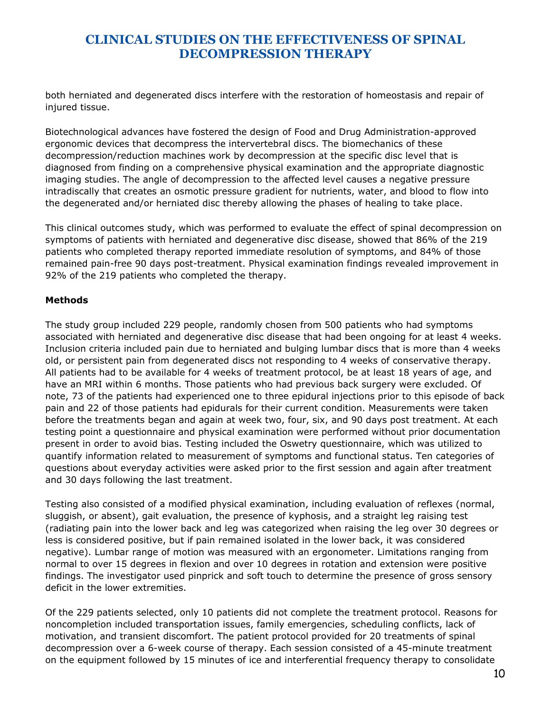both herniated and degenerated discs interfere with the restoration of homeostasis and repair of injured tissue.

Biotechnological advances have fostered the design of Food and Drug Administration-approved ergonomic devices that decompress the intervertebral discs. The biomechanics of these decompression/reduction machines work by decompression at the specific disc level that is diagnosed from finding on a comprehensive physical examination and the appropriate diagnostic imaging studies. The angle of decompression to the affected level causes a negative pressure intradiscally that creates an osmotic pressure gradient for nutrients, water, and blood to flow into the degenerated and/or herniated disc thereby allowing the phases of healing to take place.

This clinical outcomes study, which was performed to evaluate the effect of spinal decompression on symptoms of patients with herniated and degenerative disc disease, showed that 86% of the 219 patients who completed therapy reported immediate resolution of symptoms, and 84% of those remained pain-free 90 days post-treatment. Physical examination findings revealed improvement in 92% of the 219 patients who completed the therapy.

## **Methods**

The study group included 229 people, randomly chosen from 500 patients who had symptoms associated with herniated and degenerative disc disease that had been ongoing for at least 4 weeks. Inclusion criteria included pain due to herniated and bulging lumbar discs that is more than 4 weeks old, or persistent pain from degenerated discs not responding to 4 weeks of conservative therapy. All patients had to be available for 4 weeks of treatment protocol, be at least 18 years of age, and have an MRI within 6 months. Those patients who had previous back surgery were excluded. Of note, 73 of the patients had experienced one to three epidural injections prior to this episode of back pain and 22 of those patients had epidurals for their current condition. Measurements were taken before the treatments began and again at week two, four, six, and 90 days post treatment. At each testing point a questionnaire and physical examination were performed without prior documentation present in order to avoid bias. Testing included the Oswetry questionnaire, which was utilized to quantify information related to measurement of symptoms and functional status. Ten categories of questions about everyday activities were asked prior to the first session and again after treatment and 30 days following the last treatment.

Testing also consisted of a modified physical examination, including evaluation of reflexes (normal, sluggish, or absent), gait evaluation, the presence of kyphosis, and a straight leg raising test (radiating pain into the lower back and leg was categorized when raising the leg over 30 degrees or less is considered positive, but if pain remained isolated in the lower back, it was considered negative). Lumbar range of motion was measured with an ergonometer. Limitations ranging from normal to over 15 degrees in flexion and over 10 degrees in rotation and extension were positive findings. The investigator used pinprick and soft touch to determine the presence of gross sensory deficit in the lower extremities.

Of the 229 patients selected, only 10 patients did not complete the treatment protocol. Reasons for noncompletion included transportation issues, family emergencies, scheduling conflicts, lack of motivation, and transient discomfort. The patient protocol provided for 20 treatments of spinal decompression over a 6-week course of therapy. Each session consisted of a 45-minute treatment on the equipment followed by 15 minutes of ice and interferential frequency therapy to consolidate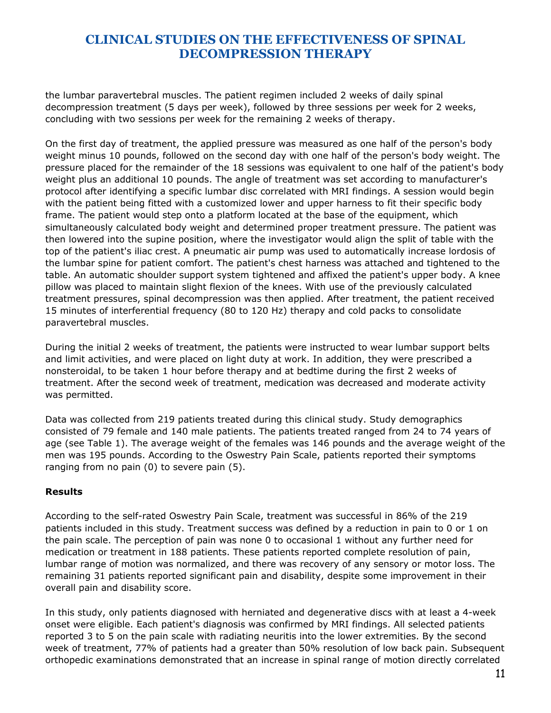the lumbar paravertebral muscles. The patient regimen included 2 weeks of daily spinal decompression treatment (5 days per week), followed by three sessions per week for 2 weeks, concluding with two sessions per week for the remaining 2 weeks of therapy.

On the first day of treatment, the applied pressure was measured as one half of the person's body weight minus 10 pounds, followed on the second day with one half of the person's body weight. The pressure placed for the remainder of the 18 sessions was equivalent to one half of the patient's body weight plus an additional 10 pounds. The angle of treatment was set according to manufacturer's protocol after identifying a specific lumbar disc correlated with MRI findings. A session would begin with the patient being fitted with a customized lower and upper harness to fit their specific body frame. The patient would step onto a platform located at the base of the equipment, which simultaneously calculated body weight and determined proper treatment pressure. The patient was then lowered into the supine position, where the investigator would align the split of table with the top of the patient's iliac crest. A pneumatic air pump was used to automatically increase lordosis of the lumbar spine for patient comfort. The patient's chest harness was attached and tightened to the table. An automatic shoulder support system tightened and affixed the patient's upper body. A knee pillow was placed to maintain slight flexion of the knees. With use of the previously calculated treatment pressures, spinal decompression was then applied. After treatment, the patient received 15 minutes of interferential frequency (80 to 120 Hz) therapy and cold packs to consolidate paravertebral muscles.

During the initial 2 weeks of treatment, the patients were instructed to wear lumbar support belts and limit activities, and were placed on light duty at work. In addition, they were prescribed a nonsteroidal, to be taken 1 hour before therapy and at bedtime during the first 2 weeks of treatment. After the second week of treatment, medication was decreased and moderate activity was permitted.

Data was collected from 219 patients treated during this clinical study. Study demographics consisted of 79 female and 140 male patients. The patients treated ranged from 24 to 74 years of age (see Table 1). The average weight of the females was 146 pounds and the average weight of the men was 195 pounds. According to the Oswestry Pain Scale, patients reported their symptoms ranging from no pain (0) to severe pain (5).

#### **Results**

According to the self-rated Oswestry Pain Scale, treatment was successful in 86% of the 219 patients included in this study. Treatment success was defined by a reduction in pain to 0 or 1 on the pain scale. The perception of pain was none 0 to occasional 1 without any further need for medication or treatment in 188 patients. These patients reported complete resolution of pain, lumbar range of motion was normalized, and there was recovery of any sensory or motor loss. The remaining 31 patients reported significant pain and disability, despite some improvement in their overall pain and disability score.

In this study, only patients diagnosed with herniated and degenerative discs with at least a 4-week onset were eligible. Each patient's diagnosis was confirmed by MRI findings. All selected patients reported 3 to 5 on the pain scale with radiating neuritis into the lower extremities. By the second week of treatment, 77% of patients had a greater than 50% resolution of low back pain. Subsequent orthopedic examinations demonstrated that an increase in spinal range of motion directly correlated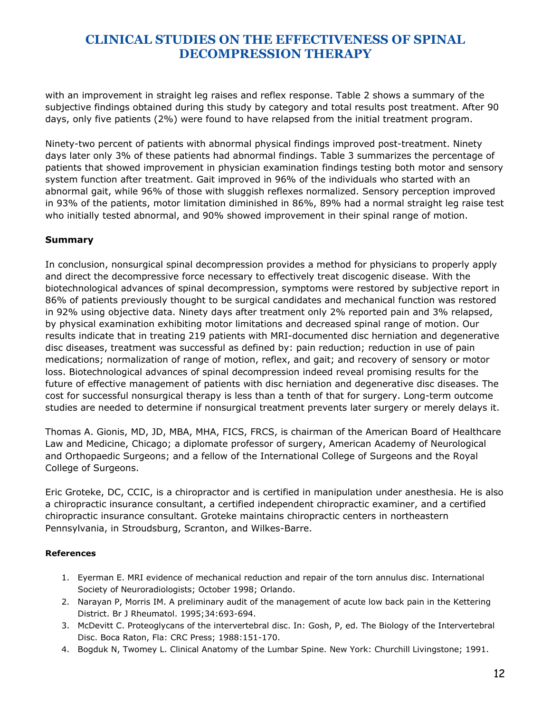with an improvement in straight leg raises and reflex response. Table 2 shows a summary of the subjective findings obtained during this study by category and total results post treatment. After 90 days, only five patients (2%) were found to have relapsed from the initial treatment program.

Ninety-two percent of patients with abnormal physical findings improved post-treatment. Ninety days later only 3% of these patients had abnormal findings. Table 3 summarizes the percentage of patients that showed improvement in physician examination findings testing both motor and sensory system function after treatment. Gait improved in 96% of the individuals who started with an abnormal gait, while 96% of those with sluggish reflexes normalized. Sensory perception improved in 93% of the patients, motor limitation diminished in 86%, 89% had a normal straight leg raise test who initially tested abnormal, and 90% showed improvement in their spinal range of motion.

## **Summary**

In conclusion, nonsurgical spinal decompression provides a method for physicians to properly apply and direct the decompressive force necessary to effectively treat discogenic disease. With the biotechnological advances of spinal decompression, symptoms were restored by subjective report in 86% of patients previously thought to be surgical candidates and mechanical function was restored in 92% using objective data. Ninety days after treatment only 2% reported pain and 3% relapsed, by physical examination exhibiting motor limitations and decreased spinal range of motion. Our results indicate that in treating 219 patients with MRI-documented disc herniation and degenerative disc diseases, treatment was successful as defined by: pain reduction; reduction in use of pain medications; normalization of range of motion, reflex, and gait; and recovery of sensory or motor loss. Biotechnological advances of spinal decompression indeed reveal promising results for the future of effective management of patients with disc herniation and degenerative disc diseases. The cost for successful nonsurgical therapy is less than a tenth of that for surgery. Long-term outcome studies are needed to determine if nonsurgical treatment prevents later surgery or merely delays it.

Thomas A. Gionis, MD, JD, MBA, MHA, FICS, FRCS, is chairman of the American Board of Healthcare Law and Medicine, Chicago; a diplomate professor of surgery, American Academy of Neurological and Orthopaedic Surgeons; and a fellow of the International College of Surgeons and the Royal College of Surgeons.

Eric Groteke, DC, CCIC, is a chiropractor and is certified in manipulation under anesthesia. He is also a chiropractic insurance consultant, a certified independent chiropractic examiner, and a certified chiropractic insurance consultant. Groteke maintains chiropractic centers in northeastern Pennsylvania, in Stroudsburg, Scranton, and Wilkes-Barre.

#### **References**

- 1. Eyerman E. MRI evidence of mechanical reduction and repair of the torn annulus disc. International Society of Neuroradiologists; October 1998; Orlando.
- 2. Narayan P, Morris IM. A preliminary audit of the management of acute low back pain in the Kettering District. Br J Rheumatol. 1995;34:693-694.
- 3. McDevitt C. Proteoglycans of the intervertebral disc. In: Gosh, P, ed. The Biology of the Intervertebral Disc. Boca Raton, Fla: CRC Press; 1988:151-170.
- 4. Bogduk N, Twomey L. Clinical Anatomy of the Lumbar Spine. New York: Churchill Livingstone; 1991.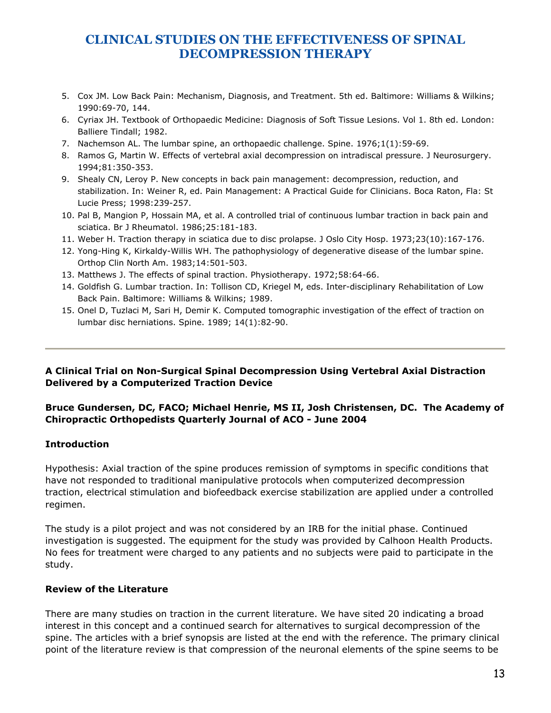- 5. Cox JM. Low Back Pain: Mechanism, Diagnosis, and Treatment. 5th ed. Baltimore: Williams & Wilkins; 1990:69-70, 144.
- 6. Cyriax JH. Textbook of Orthopaedic Medicine: Diagnosis of Soft Tissue Lesions. Vol 1. 8th ed. London: Balliere Tindall; 1982.
- 7. Nachemson AL. The lumbar spine, an orthopaedic challenge. Spine. 1976;1(1):59-69.
- 8. Ramos G, Martin W. Effects of vertebral axial decompression on intradiscal pressure. J Neurosurgery. 1994;81:350-353.
- 9. Shealy CN, Leroy P. New concepts in back pain management: decompression, reduction, and stabilization. In: Weiner R, ed. Pain Management: A Practical Guide for Clinicians. Boca Raton, Fla: St Lucie Press; 1998:239-257.
- 10. Pal B, Mangion P, Hossain MA, et al. A controlled trial of continuous lumbar traction in back pain and sciatica. Br J Rheumatol. 1986;25:181-183.
- 11. Weber H. Traction therapy in sciatica due to disc prolapse. J Oslo City Hosp. 1973;23(10):167-176.
- 12. Yong-Hing K, Kirkaldy-Willis WH. The pathophysiology of degenerative disease of the lumbar spine. Orthop Clin North Am. 1983;14:501-503.
- 13. Matthews J. The effects of spinal traction. Physiotherapy. 1972;58:64-66.
- 14. Goldfish G. Lumbar traction. In: Tollison CD, Kriegel M, eds. Inter-disciplinary Rehabilitation of Low Back Pain. Baltimore: Williams & Wilkins; 1989.
- 15. Onel D, Tuzlaci M, Sari H, Demir K. Computed tomographic investigation of the effect of traction on lumbar disc herniations. Spine. 1989; 14(1):82-90.

## **A Clinical Trial on Non-Surgical Spinal Decompression Using Vertebral Axial Distraction Delivered by a Computerized Traction Device**

## **Bruce Gundersen, DC, FACO; Michael Henrie, MS II, Josh Christensen, DC. The Academy of Chiropractic Orthopedists Quarterly Journal of ACO - June 2004**

## **Introduction**

Hypothesis: Axial traction of the spine produces remission of symptoms in specific conditions that have not responded to traditional manipulative protocols when computerized decompression traction, electrical stimulation and biofeedback exercise stabilization are applied under a controlled regimen.

The study is a pilot project and was not considered by an IRB for the initial phase. Continued investigation is suggested. The equipment for the study was provided by Calhoon Health Products. No fees for treatment were charged to any patients and no subjects were paid to participate in the study.

#### **Review of the Literature**

There are many studies on traction in the current literature. We have sited 20 indicating a broad interest in this concept and a continued search for alternatives to surgical decompression of the spine. The articles with a brief synopsis are listed at the end with the reference. The primary clinical point of the literature review is that compression of the neuronal elements of the spine seems to be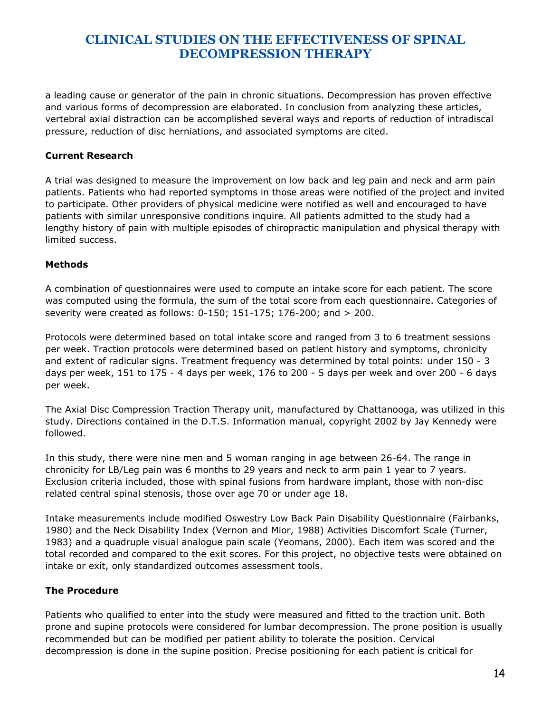a leading cause or generator of the pain in chronic situations. Decompression has proven effective and various forms of decompression are elaborated. In conclusion from analyzing these articles, vertebral axial distraction can be accomplished several ways and reports of reduction of intradiscal pressure, reduction of disc herniations, and associated symptoms are cited.

#### **Current Research**

A trial was designed to measure the improvement on low back and leg pain and neck and arm pain patients. Patients who had reported symptoms in those areas were notified of the project and invited to participate. Other providers of physical medicine were notified as well and encouraged to have patients with similar unresponsive conditions inquire. All patients admitted to the study had a lengthy history of pain with multiple episodes of chiropractic manipulation and physical therapy with limited success.

## **Methods**

A combination of questionnaires were used to compute an intake score for each patient. The score was computed using the formula, the sum of the total score from each questionnaire. Categories of severity were created as follows: 0-150; 151-175; 176-200; and > 200.

Protocols were determined based on total intake score and ranged from 3 to 6 treatment sessions per week. Traction protocols were determined based on patient history and symptoms, chronicity and extent of radicular signs. Treatment frequency was determined by total points: under 150 - 3 days per week, 151 to 175 - 4 days per week, 176 to 200 - 5 days per week and over 200 - 6 days per week.

The Axial Disc Compression Traction Therapy unit, manufactured by Chattanooga, was utilized in this study. Directions contained in the D.T.S. Information manual, copyright 2002 by Jay Kennedy were followed.

In this study, there were nine men and 5 woman ranging in age between 26-64. The range in chronicity for LB/Leg pain was 6 months to 29 years and neck to arm pain 1 year to 7 years. Exclusion criteria included, those with spinal fusions from hardware implant, those with non-disc related central spinal stenosis, those over age 70 or under age 18.

Intake measurements include modified Oswestry Low Back Pain Disability Questionnaire (Fairbanks, 1980) and the Neck Disability Index (Vernon and Mior, 1988) Activities Discomfort Scale (Turner, 1983) and a quadruple visual analogue pain scale (Yeomans, 2000). Each item was scored and the total recorded and compared to the exit scores. For this project, no objective tests were obtained on intake or exit, only standardized outcomes assessment tools.

## **The Procedure**

Patients who qualified to enter into the study were measured and fitted to the traction unit. Both prone and supine protocols were considered for lumbar decompression. The prone position is usually recommended but can be modified per patient ability to tolerate the position. Cervical decompression is done in the supine position. Precise positioning for each patient is critical for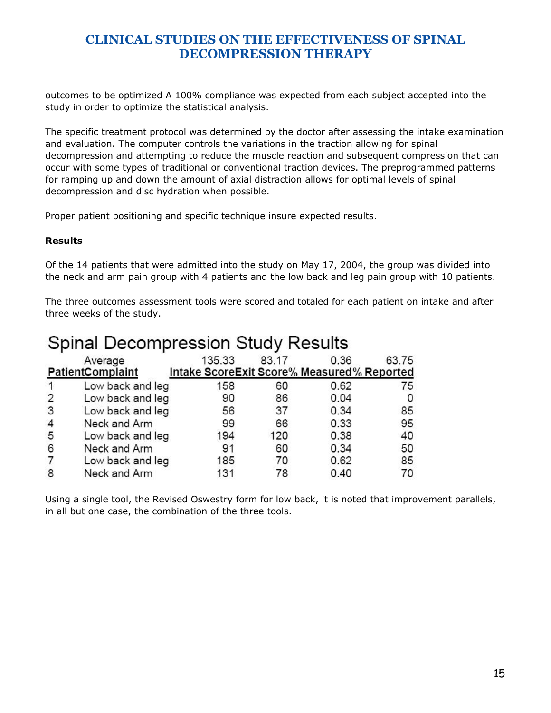outcomes to be optimized A 100% compliance was expected from each subject accepted into the study in order to optimize the statistical analysis.

The specific treatment protocol was determined by the doctor after assessing the intake examination and evaluation. The computer controls the variations in the traction allowing for spinal decompression and attempting to reduce the muscle reaction and subsequent compression that can occur with some types of traditional or conventional traction devices. The preprogrammed patterns for ramping up and down the amount of axial distraction allows for optimal levels of spinal decompression and disc hydration when possible.

Proper patient positioning and specific technique insure expected results.

#### **Results**

Of the 14 patients that were admitted into the study on May 17, 2004, the group was divided into the neck and arm pain group with 4 patients and the low back and leg pain group with 10 patients.

The three outcomes assessment tools were scored and totaled for each patient on intake and after three weeks of the study.

| $S1$ . $S2$ . $S3$ . $S4$ . $S5$ . $S6$ . $S7$ . $S8$ |  |  |  |  |  |  |  |  |
|-------------------------------------------------------|--|--|--|--|--|--|--|--|
| 0.36<br>63.75                                         |  |  |  |  |  |  |  |  |
| Intake ScoreExit Score% Measured% Reported            |  |  |  |  |  |  |  |  |
| 0.62<br>75                                            |  |  |  |  |  |  |  |  |
| 0.04                                                  |  |  |  |  |  |  |  |  |
| 85<br>0.34                                            |  |  |  |  |  |  |  |  |
| 0.33<br>95                                            |  |  |  |  |  |  |  |  |
| 0.38<br>40                                            |  |  |  |  |  |  |  |  |
| 0.34<br>50                                            |  |  |  |  |  |  |  |  |
| 0.62<br>85                                            |  |  |  |  |  |  |  |  |
| 0.40<br>70                                            |  |  |  |  |  |  |  |  |
|                                                       |  |  |  |  |  |  |  |  |

## Spinal Decompression Study Results

Using a single tool, the Revised Oswestry form for low back, it is noted that improvement parallels, in all but one case, the combination of the three tools.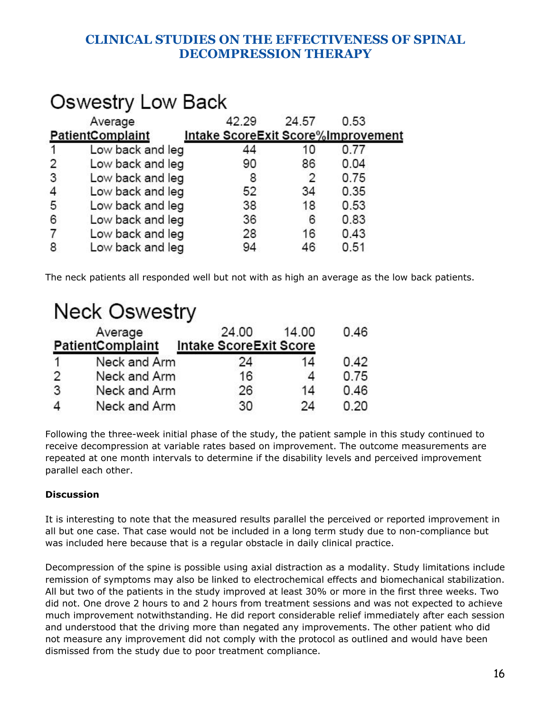#### **Oswestry Low Back** 42.29 24.57 0.53 Average **PatientComplaint** Intake ScoreExit Score%Improvement 1 Low back and leg 44 0.77 10  $\overline{2}$ 90 86  $0.04$ Low back and leg 3 Low back and leg 8 2 0.75 4 Low back and leg 52 34 0.35 5 Low back and leg 38 18 0.53 6 36 0.83 Low back and leg 6 7 Low back and leg 28 16 0.43 8 Low back and leg 94 46  $0.51$

The neck patients all responded well but not with as high an average as the low back patients.

# **Neck Oswestry**

|               | Average                 | 24.00                         | 14.00 | 0.46 |
|---------------|-------------------------|-------------------------------|-------|------|
|               | <b>PatientComplaint</b> | <b>Intake ScoreExit Score</b> |       |      |
|               | Neck and Arm            | 24                            | 14    | 0.42 |
| $\mathcal{P}$ | Neck and Arm            | 16                            |       | 0.75 |
| 3             | Neck and Arm            | 26                            | 14    | 0.46 |
|               | Neck and Arm            | 30                            | 24    | 0.20 |

Following the three-week initial phase of the study, the patient sample in this study continued to receive decompression at variable rates based on improvement. The outcome measurements are repeated at one month intervals to determine if the disability levels and perceived improvement parallel each other.

## **Discussion**

It is interesting to note that the measured results parallel the perceived or reported improvement in all but one case. That case would not be included in a long term study due to non-compliance but was included here because that is a regular obstacle in daily clinical practice.

Decompression of the spine is possible using axial distraction as a modality. Study limitations include remission of symptoms may also be linked to electrochemical effects and biomechanical stabilization. All but two of the patients in the study improved at least 30% or more in the first three weeks. Two did not. One drove 2 hours to and 2 hours from treatment sessions and was not expected to achieve much improvement notwithstanding. He did report considerable relief immediately after each session and understood that the driving more than negated any improvements. The other patient who did not measure any improvement did not comply with the protocol as outlined and would have been dismissed from the study due to poor treatment compliance.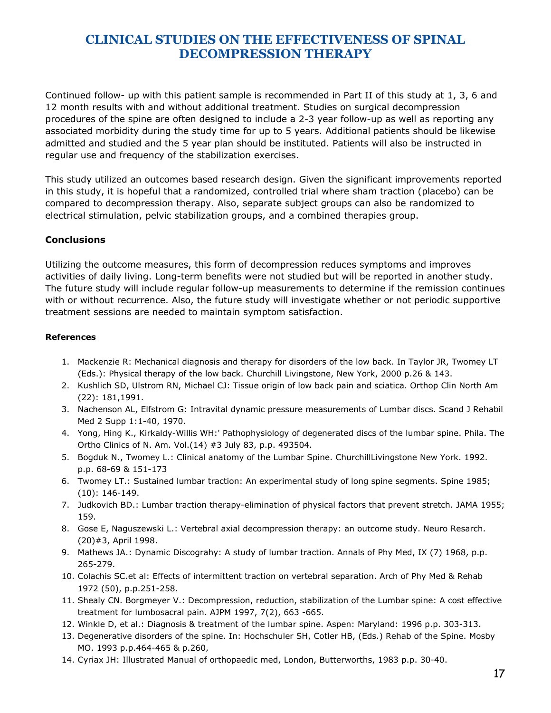Continued follow- up with this patient sample is recommended in Part II of this study at 1, 3, 6 and 12 month results with and without additional treatment. Studies on surgical decompression procedures of the spine are often designed to include a 2-3 year follow-up as well as reporting any associated morbidity during the study time for up to 5 years. Additional patients should be likewise admitted and studied and the 5 year plan should be instituted. Patients will also be instructed in regular use and frequency of the stabilization exercises.

This study utilized an outcomes based research design. Given the significant improvements reported in this study, it is hopeful that a randomized, controlled trial where sham traction (placebo) can be compared to decompression therapy. Also, separate subject groups can also be randomized to electrical stimulation, pelvic stabilization groups, and a combined therapies group.

## **Conclusions**

Utilizing the outcome measures, this form of decompression reduces symptoms and improves activities of daily living. Long-term benefits were not studied but will be reported in another study. The future study will include regular follow-up measurements to determine if the remission continues with or without recurrence. Also, the future study will investigate whether or not periodic supportive treatment sessions are needed to maintain symptom satisfaction.

#### **References**

- 1. Mackenzie R: Mechanical diagnosis and therapy for disorders of the low back. In Taylor JR, Twomey LT (Eds.): Physical therapy of the low back. Churchill Livingstone, New York, 2000 p.26 & 143.
- 2. Kushlich SD, Ulstrom RN, Michael CJ: Tissue origin of low back pain and sciatica. Orthop Clin North Am (22): 181,1991.
- 3. Nachenson AL, Elfstrom G: Intravital dynamic pressure measurements of Lumbar discs. Scand J Rehabil Med 2 Supp 1:1-40, 1970.
- 4. Yong, Hing K., Kirkaldy-Willis WH:' Pathophysiology of degenerated discs of the lumbar spine. Phila. The Ortho Clinics of N. Am. Vol.(14) #3 July 83, p.p. 493504.
- 5. Bogduk N., Twomey L.: Clinical anatomy of the Lumbar Spine. ChurchillLivingstone New York. 1992. p.p. 68-69 & 151-173
- 6. Twomey LT.: Sustained lumbar traction: An experimental study of long spine segments. Spine 1985; (10): 146-149.
- 7. Judkovich BD.: Lumbar traction therapy-elimination of physical factors that prevent stretch. JAMA 1955; 159.
- 8. Gose E, Naguszewski L.: Vertebral axial decompression therapy: an outcome study. Neuro Resarch. (20)#3, April 1998.
- 9. Mathews JA.: Dynamic Discograhy: A study of lumbar traction. Annals of Phy Med, IX (7) 1968, p.p. 265-279.
- 10. Colachis SC.et al: Effects of intermittent traction on vertebral separation. Arch of Phy Med & Rehab 1972 (50), p.p.251-258.
- 11. Shealy CN. Borgmeyer V.: Decompression, reduction, stabilization of the Lumbar spine: A cost effective treatment for lumbosacral pain. AJPM 1997, 7(2), 663 -665.
- 12. Winkle D, et al.: Diagnosis & treatment of the lumbar spine. Aspen: Maryland: 1996 p.p. 303-313.
- 13. Degenerative disorders of the spine. In: Hochschuler SH, Cotler HB, (Eds.) Rehab of the Spine. Mosby MO. 1993 p.p.464-465 & p.260,
- 14. Cyriax JH: Illustrated Manual of orthopaedic med, London, Butterworths, 1983 p.p. 30-40.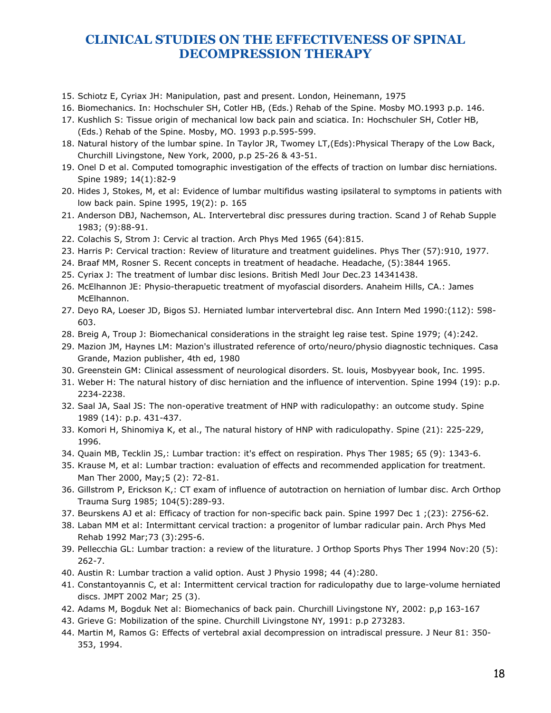- 15. Schiotz E, Cyriax JH: Manipulation, past and present. London, Heinemann, 1975
- 16. Biomechanics. In: Hochschuler SH, Cotler HB, (Eds.) Rehab of the Spine. Mosby MO.1993 p.p. 146.
- 17. Kushlich S: Tissue origin of mechanical low back pain and sciatica. In: Hochschuler SH, Cotler HB, (Eds.) Rehab of the Spine. Mosby, MO. 1993 p.p.595-599.
- 18. Natural history of the lumbar spine. In Taylor JR, Twomey LT,(Eds):Physical Therapy of the Low Back, Churchill Livingstone, New York, 2000, p.p 25-26 & 43-51.
- 19. Onel D et al. Computed tomographic investigation of the effects of traction on lumbar disc herniations. Spine 1989; 14(1):82-9
- 20. Hides J, Stokes, M, et al: Evidence of lumbar multifidus wasting ipsilateral to symptoms in patients with low back pain. Spine 1995, 19(2): p. 165
- 21. Anderson DBJ, Nachemson, AL. Intervertebral disc pressures during traction. Scand J of Rehab Supple 1983; (9):88-91.
- 22. Colachis S, Strom J: Cervic al traction. Arch Phys Med 1965 (64):815.
- 23. Harris P: Cervical traction: Review of liturature and treatment guidelines. Phys Ther (57):910, 1977.
- 24. Braaf MM, Rosner S. Recent concepts in treatment of headache. Headache, (5):3844 1965.
- 25. Cyriax J: The treatment of lumbar disc lesions. British Medl Jour Dec.23 14341438.
- 26. McElhannon JE: Physio-therapuetic treatment of myofascial disorders. Anaheim Hills, CA.: James McElhannon.
- 27. Deyo RA, Loeser JD, Bigos SJ. Herniated lumbar intervertebral disc. Ann Intern Med 1990:(112): 598- 603.
- 28. Breig A, Troup J: Biomechanical considerations in the straight leg raise test. Spine 1979; (4):242.
- 29. Mazion JM, Haynes LM: Mazion's illustrated reference of orto/neuro/physio diagnostic techniques. Casa Grande, Mazion publisher, 4th ed, 1980
- 30. Greenstein GM: Clinical assessment of neurological disorders. St. louis, Mosbyyear book, Inc. 1995.
- 31. Weber H: The natural history of disc herniation and the influence of intervention. Spine 1994 (19): p.p. 2234-2238.
- 32. Saal JA, Saal JS: The non-operative treatment of HNP with radiculopathy: an outcome study. Spine 1989 (14): p.p. 431-437.
- 33. Komori H, Shinomiya K, et al., The natural history of HNP with radiculopathy. Spine (21): 225-229, 1996.
- 34. Quain MB, Tecklin JS,: Lumbar traction: it's effect on respiration. Phys Ther 1985; 65 (9): 1343-6.
- 35. Krause M, et al: Lumbar traction: evaluation of effects and recommended application for treatment. Man Ther 2000, May;5 (2): 72-81.
- 36. Gillstrom P, Erickson K,: CT exam of influence of autotraction on herniation of lumbar disc. Arch Orthop Trauma Surg 1985; 104(5):289-93.
- 37. Beurskens AJ et al: Efficacy of traction for non-specific back pain. Spine 1997 Dec 1 ;(23): 2756-62.
- 38. Laban MM et al: Intermittant cervical traction: a progenitor of lumbar radicular pain. Arch Phys Med Rehab 1992 Mar;73 (3):295-6.
- 39. Pellecchia GL: Lumbar traction: a review of the liturature. J Orthop Sports Phys Ther 1994 Nov:20 (5): 262-7.
- 40. Austin R: Lumbar traction a valid option. Aust J Physio 1998; 44 (4):280.
- 41. Constantoyannis C, et al: Intermittent cervical traction for radiculopathy due to large-volume herniated discs. JMPT 2002 Mar; 25 (3).
- 42. Adams M, Bogduk Net al: Biomechanics of back pain. Churchill Livingstone NY, 2002: p,p 163-167
- 43. Grieve G: Mobilization of the spine. Churchill Livingstone NY, 1991: p.p 273283.
- 44. Martin M, Ramos G: Effects of vertebral axial decompression on intradiscal pressure. J Neur 81: 350- 353, 1994.